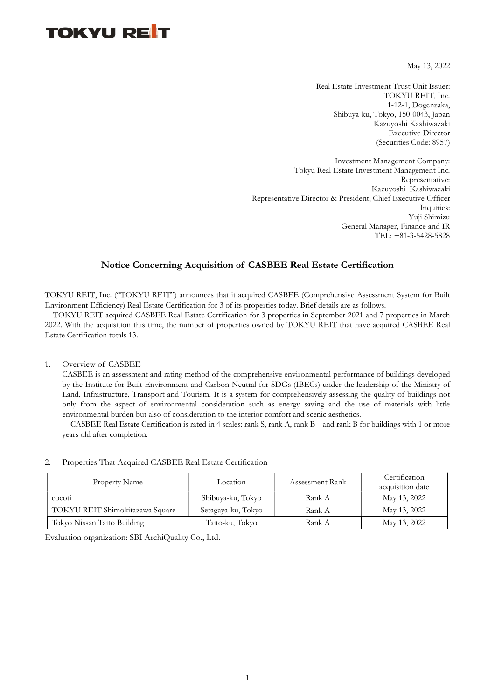## **TOKYU RET**

May 13, 2022

Real Estate Investment Trust Unit Issuer: TOKYU REIT, Inc. 1-12-1, Dogenzaka, Shibuya-ku, Tokyo, 150-0043, Japan Kazuyoshi Kashiwazaki Executive Director (Securities Code: 8957)

Investment Management Company: Tokyu Real Estate Investment Management Inc. Representative: Kazuyoshi Kashiwazaki Representative Director & President, Chief Executive Officer Inquiries: Yuji Shimizu General Manager, Finance and IR TEL: +81-3-5428-5828

### Notice Concerning Acquisition of CASBEE Real Estate Certification

TOKYU REIT, Inc. ("TOKYU REIT") announces that it acquired CASBEE (Comprehensive Assessment System for Built Environment Efficiency) Real Estate Certification for 3 of its properties today. Brief details are as follows.

 TOKYU REIT acquired CASBEE Real Estate Certification for 3 properties in September 2021 and 7 properties in March 2022. With the acquisition this time, the number of properties owned by TOKYU REIT that have acquired CASBEE Real Estate Certification totals 13.

#### 1. Overview of CASBEE

CASBEE is an assessment and rating method of the comprehensive environmental performance of buildings developed by the Institute for Built Environment and Carbon Neutral for SDGs (IBECs) under the leadership of the Ministry of Land, Infrastructure, Transport and Tourism. It is a system for comprehensively assessing the quality of buildings not only from the aspect of environmental consideration such as energy saving and the use of materials with little environmental burden but also of consideration to the interior comfort and scenic aesthetics.

CASBEE Real Estate Certification is rated in 4 scales: rank S, rank A, rank B+ and rank B for buildings with 1 or more years old after completion.

#### 2. Properties That Acquired CASBEE Real Estate Certification

| Property Name                   | Location           | Assessment Rank | Certification<br>acquisition date |
|---------------------------------|--------------------|-----------------|-----------------------------------|
| co <sub>cot1</sub>              | Shibuya-ku, Tokyo  | Rank A          | May 13, 2022                      |
| TOKYU REIT Shimokitazawa Square | Setagaya-ku, Tokyo | Rank A          | May 13, 2022                      |
| Tokyo Nissan Taito Building     | Taito-ku, Tokyo    | Rank A          | May 13, 2022                      |

Evaluation organization: SBI ArchiQuality Co., Ltd.